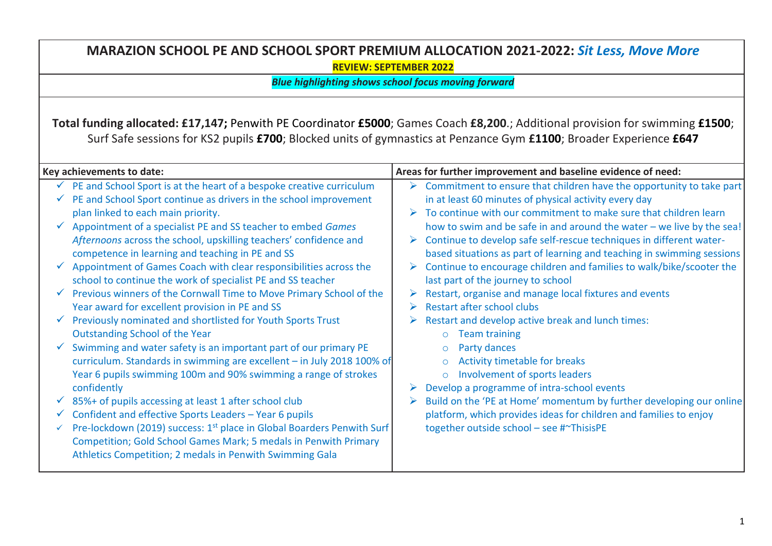## **MARAZION SCHOOL PE AND SCHOOL SPORT PREMIUM ALLOCATION 2021-2022:** *Sit Less, Move More* **REVIEW: SEPTEMBER 2022**

*Blue highlighting shows school focus moving forward*

**Total funding allocated: £17,147;** Penwith PE Coordinator **£5000**; Games Coach **£8,200**.; Additional provision for swimming **£1500**; Surf Safe sessions for KS2 pupils **£700**; Blocked units of gymnastics at Penzance Gym **£1100**; Broader Experience **£647**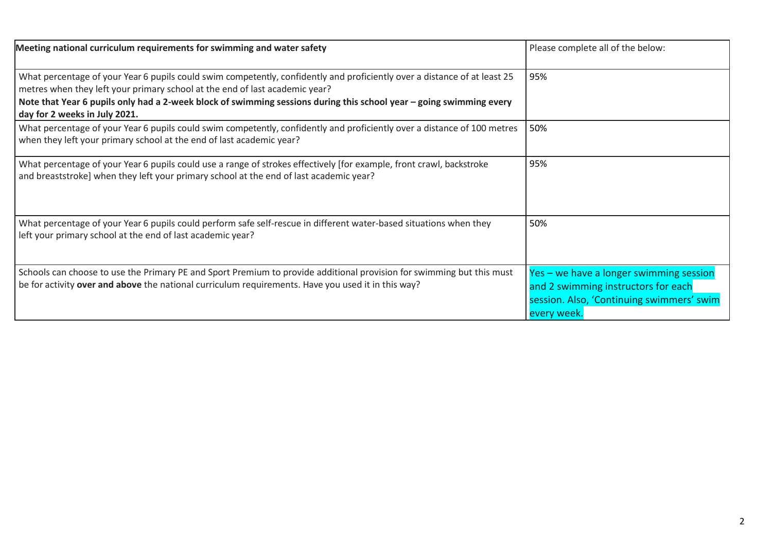| Meeting national curriculum requirements for swimming and water safety                                                                                                                                                                                                                                                                                           | Please complete all of the below:                                                                                                          |
|------------------------------------------------------------------------------------------------------------------------------------------------------------------------------------------------------------------------------------------------------------------------------------------------------------------------------------------------------------------|--------------------------------------------------------------------------------------------------------------------------------------------|
| What percentage of your Year 6 pupils could swim competently, confidently and proficiently over a distance of at least 25<br>metres when they left your primary school at the end of last academic year?<br>Note that Year 6 pupils only had a 2-week block of swimming sessions during this school year - going swimming every<br>day for 2 weeks in July 2021. | 95%                                                                                                                                        |
| What percentage of your Year 6 pupils could swim competently, confidently and proficiently over a distance of 100 metres<br>when they left your primary school at the end of last academic year?                                                                                                                                                                 | 50%                                                                                                                                        |
| What percentage of your Year 6 pupils could use a range of strokes effectively [for example, front crawl, backstroke<br>and breaststroke] when they left your primary school at the end of last academic year?                                                                                                                                                   | 95%                                                                                                                                        |
| What percentage of your Year 6 pupils could perform safe self-rescue in different water-based situations when they<br>left your primary school at the end of last academic year?                                                                                                                                                                                 | 50%                                                                                                                                        |
| Schools can choose to use the Primary PE and Sport Premium to provide additional provision for swimming but this must<br>be for activity over and above the national curriculum requirements. Have you used it in this way?                                                                                                                                      | Yes - we have a longer swimming session<br>and 2 swimming instructors for each<br>session. Also, 'Continuing swimmers' swim<br>every week. |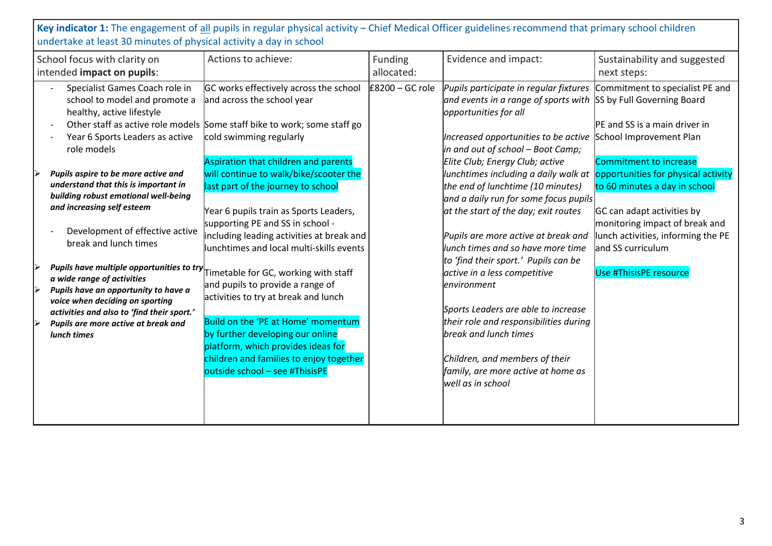Key indicator 1: The engagement of all pupils in regular physical activity – Chief Medical Officer guidelines recommend that primary school children undertake at least 30 minutes of physical activity a day in school

| School focus with clarity on                                                                                                                                                                                                                                                                                                                                                                                                                                            | Actions to achieve:                                                                                                                                                                                                                                                                                                                                                                                                                                                                                                                                                                                          | Funding           | Evidence and impact:                                                                                                                                                                                                                                                                                                                                                                                                                                                                                                                                                    | Sustainability and suggested                                                                                                                                                                                                                               |
|-------------------------------------------------------------------------------------------------------------------------------------------------------------------------------------------------------------------------------------------------------------------------------------------------------------------------------------------------------------------------------------------------------------------------------------------------------------------------|--------------------------------------------------------------------------------------------------------------------------------------------------------------------------------------------------------------------------------------------------------------------------------------------------------------------------------------------------------------------------------------------------------------------------------------------------------------------------------------------------------------------------------------------------------------------------------------------------------------|-------------------|-------------------------------------------------------------------------------------------------------------------------------------------------------------------------------------------------------------------------------------------------------------------------------------------------------------------------------------------------------------------------------------------------------------------------------------------------------------------------------------------------------------------------------------------------------------------------|------------------------------------------------------------------------------------------------------------------------------------------------------------------------------------------------------------------------------------------------------------|
| intended impact on pupils:                                                                                                                                                                                                                                                                                                                                                                                                                                              |                                                                                                                                                                                                                                                                                                                                                                                                                                                                                                                                                                                                              | allocated:        |                                                                                                                                                                                                                                                                                                                                                                                                                                                                                                                                                                         | next steps:                                                                                                                                                                                                                                                |
| Specialist Games Coach role in<br>school to model and promote a<br>healthy, active lifestyle<br>Year 6 Sports Leaders as active<br>role models                                                                                                                                                                                                                                                                                                                          | GC works effectively across the school<br>and across the school year<br>Other staff as active role models Some staff bike to work; some staff go<br>cold swimming regularly                                                                                                                                                                                                                                                                                                                                                                                                                                  | $E8200 - GC$ role | Pupils participate in regular fixtures<br>and events in a range of sports with SS by Full Governing Board<br>opportunities for all<br>Increased opportunities to be active<br>in and out of school – Boot Camp;                                                                                                                                                                                                                                                                                                                                                         | Commitment to specialist PE and<br>PE and SS is a main driver in<br>School Improvement Plan                                                                                                                                                                |
| Pupils aspire to be more active and<br>understand that this is important in<br>building robust emotional well-being<br>and increasing self esteem<br>Development of effective active<br>break and lunch times<br>Pupils have multiple opportunities to try<br>a wide range of activities<br>Pupils have an opportunity to have a<br>voice when deciding on sporting<br>activities and also to 'find their sport.'<br>Pupils are more active at break and<br>lunch times | Aspiration that children and parents<br>will continue to walk/bike/scooter the<br>last part of the journey to school<br>Year 6 pupils train as Sports Leaders,<br>supporting PE and SS in school -<br>including leading activities at break and<br>lunchtimes and local multi-skills events<br>Timetable for GC, working with staff<br>and pupils to provide a range of<br>activities to try at break and lunch<br>Build on the 'PE at Home' momentum<br>by further developing our online<br>platform, which provides ideas for<br>children and families to enjoy together<br>outside school - see #ThisisPE |                   | Elite Club; Energy Club; active<br>lunchtimes including a daily walk at<br>the end of lunchtime (10 minutes)<br>and a daily run for some focus pupils<br>at the start of the day; exit routes<br>Pupils are more active at break and<br>lunch times and so have more time<br>to 'find their sport.' Pupils can be<br>active in a less competitive<br>environment<br>Sports Leaders are able to increase<br>their role and responsibilities during<br>break and lunch times<br>Children, and members of their<br>family, are more active at home as<br>well as in school | Commitment to increase<br>opportunities for physical activity<br>to 60 minutes a day in school<br>GC can adapt activities by<br>monitoring impact of break and<br>lunch activities, informing the PE<br>and SS curriculum<br><b>Use #ThisisPE resource</b> |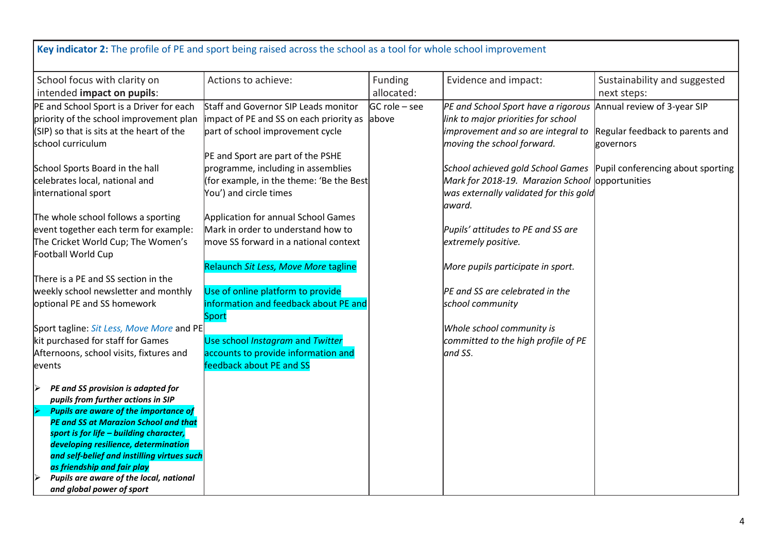| Actions to achieve:<br>Funding<br>Evidence and impact:<br>Sustainability and suggested<br>allocated:<br>next steps:<br>Annual review of 3-year SIP<br>Staff and Governor SIP Leads monitor<br>GC role – see<br>PE and School Sport have a rigorous<br>impact of PE and SS on each priority as<br>link to major priorities for school<br>above<br>part of school improvement cycle<br>improvement and so are integral to<br>Regular feedback to parents and<br>moving the school forward.<br>governors<br>PE and Sport are part of the PSHE<br>programme, including in assemblies<br>School achieved gold School Games<br>(for example, in the theme: 'Be the Best<br>Mark for 2018-19. Marazion School opportunities<br>You') and circle times<br>was externally validated for this gold<br>award.<br>The whole school follows a sporting<br>Application for annual School Games<br>Mark in order to understand how to<br>event together each term for example:<br>Pupils' attitudes to PE and SS are<br>move SS forward in a national context<br>The Cricket World Cup; The Women's<br>extremely positive.<br>Football World Cup<br>Relaunch Sit Less, Move More tagline<br>More pupils participate in sport.<br>There is a PE and SS section in the<br>Use of online platform to provide<br>weekly school newsletter and monthly<br>PE and SS are celebrated in the<br>information and feedback about PE and<br>optional PE and SS homework<br>school community<br>Sport<br>Sport tagline: Sit Less, Move More and PE<br>Whole school community is<br>kit purchased for staff for Games<br>Use school Instagram and Twitter<br>committed to the high profile of PE<br>Afternoons, school visits, fixtures and<br>accounts to provide information and<br>and SS. | Key indicator 2: The profile of PE and sport being raised across the school as a tool for whole school improvement |                          |  |  |
|-------------------------------------------------------------------------------------------------------------------------------------------------------------------------------------------------------------------------------------------------------------------------------------------------------------------------------------------------------------------------------------------------------------------------------------------------------------------------------------------------------------------------------------------------------------------------------------------------------------------------------------------------------------------------------------------------------------------------------------------------------------------------------------------------------------------------------------------------------------------------------------------------------------------------------------------------------------------------------------------------------------------------------------------------------------------------------------------------------------------------------------------------------------------------------------------------------------------------------------------------------------------------------------------------------------------------------------------------------------------------------------------------------------------------------------------------------------------------------------------------------------------------------------------------------------------------------------------------------------------------------------------------------------------------------------------------------------------------------------------------------------------|--------------------------------------------------------------------------------------------------------------------|--------------------------|--|--|
|                                                                                                                                                                                                                                                                                                                                                                                                                                                                                                                                                                                                                                                                                                                                                                                                                                                                                                                                                                                                                                                                                                                                                                                                                                                                                                                                                                                                                                                                                                                                                                                                                                                                                                                                                                   | School focus with clarity on<br>intended impact on pupils:                                                         |                          |  |  |
| Pupil conferencing about sporting                                                                                                                                                                                                                                                                                                                                                                                                                                                                                                                                                                                                                                                                                                                                                                                                                                                                                                                                                                                                                                                                                                                                                                                                                                                                                                                                                                                                                                                                                                                                                                                                                                                                                                                                 | PE and School Sport is a Driver for each                                                                           |                          |  |  |
|                                                                                                                                                                                                                                                                                                                                                                                                                                                                                                                                                                                                                                                                                                                                                                                                                                                                                                                                                                                                                                                                                                                                                                                                                                                                                                                                                                                                                                                                                                                                                                                                                                                                                                                                                                   | priority of the school improvement plan                                                                            |                          |  |  |
|                                                                                                                                                                                                                                                                                                                                                                                                                                                                                                                                                                                                                                                                                                                                                                                                                                                                                                                                                                                                                                                                                                                                                                                                                                                                                                                                                                                                                                                                                                                                                                                                                                                                                                                                                                   | (SIP) so that is sits at the heart of the                                                                          |                          |  |  |
|                                                                                                                                                                                                                                                                                                                                                                                                                                                                                                                                                                                                                                                                                                                                                                                                                                                                                                                                                                                                                                                                                                                                                                                                                                                                                                                                                                                                                                                                                                                                                                                                                                                                                                                                                                   | school curriculum                                                                                                  |                          |  |  |
|                                                                                                                                                                                                                                                                                                                                                                                                                                                                                                                                                                                                                                                                                                                                                                                                                                                                                                                                                                                                                                                                                                                                                                                                                                                                                                                                                                                                                                                                                                                                                                                                                                                                                                                                                                   |                                                                                                                    |                          |  |  |
|                                                                                                                                                                                                                                                                                                                                                                                                                                                                                                                                                                                                                                                                                                                                                                                                                                                                                                                                                                                                                                                                                                                                                                                                                                                                                                                                                                                                                                                                                                                                                                                                                                                                                                                                                                   | School Sports Board in the hall                                                                                    |                          |  |  |
|                                                                                                                                                                                                                                                                                                                                                                                                                                                                                                                                                                                                                                                                                                                                                                                                                                                                                                                                                                                                                                                                                                                                                                                                                                                                                                                                                                                                                                                                                                                                                                                                                                                                                                                                                                   | celebrates local, national and                                                                                     |                          |  |  |
|                                                                                                                                                                                                                                                                                                                                                                                                                                                                                                                                                                                                                                                                                                                                                                                                                                                                                                                                                                                                                                                                                                                                                                                                                                                                                                                                                                                                                                                                                                                                                                                                                                                                                                                                                                   | international sport                                                                                                |                          |  |  |
|                                                                                                                                                                                                                                                                                                                                                                                                                                                                                                                                                                                                                                                                                                                                                                                                                                                                                                                                                                                                                                                                                                                                                                                                                                                                                                                                                                                                                                                                                                                                                                                                                                                                                                                                                                   |                                                                                                                    |                          |  |  |
|                                                                                                                                                                                                                                                                                                                                                                                                                                                                                                                                                                                                                                                                                                                                                                                                                                                                                                                                                                                                                                                                                                                                                                                                                                                                                                                                                                                                                                                                                                                                                                                                                                                                                                                                                                   |                                                                                                                    |                          |  |  |
|                                                                                                                                                                                                                                                                                                                                                                                                                                                                                                                                                                                                                                                                                                                                                                                                                                                                                                                                                                                                                                                                                                                                                                                                                                                                                                                                                                                                                                                                                                                                                                                                                                                                                                                                                                   |                                                                                                                    |                          |  |  |
|                                                                                                                                                                                                                                                                                                                                                                                                                                                                                                                                                                                                                                                                                                                                                                                                                                                                                                                                                                                                                                                                                                                                                                                                                                                                                                                                                                                                                                                                                                                                                                                                                                                                                                                                                                   |                                                                                                                    |                          |  |  |
|                                                                                                                                                                                                                                                                                                                                                                                                                                                                                                                                                                                                                                                                                                                                                                                                                                                                                                                                                                                                                                                                                                                                                                                                                                                                                                                                                                                                                                                                                                                                                                                                                                                                                                                                                                   |                                                                                                                    |                          |  |  |
|                                                                                                                                                                                                                                                                                                                                                                                                                                                                                                                                                                                                                                                                                                                                                                                                                                                                                                                                                                                                                                                                                                                                                                                                                                                                                                                                                                                                                                                                                                                                                                                                                                                                                                                                                                   |                                                                                                                    |                          |  |  |
|                                                                                                                                                                                                                                                                                                                                                                                                                                                                                                                                                                                                                                                                                                                                                                                                                                                                                                                                                                                                                                                                                                                                                                                                                                                                                                                                                                                                                                                                                                                                                                                                                                                                                                                                                                   |                                                                                                                    |                          |  |  |
|                                                                                                                                                                                                                                                                                                                                                                                                                                                                                                                                                                                                                                                                                                                                                                                                                                                                                                                                                                                                                                                                                                                                                                                                                                                                                                                                                                                                                                                                                                                                                                                                                                                                                                                                                                   |                                                                                                                    |                          |  |  |
|                                                                                                                                                                                                                                                                                                                                                                                                                                                                                                                                                                                                                                                                                                                                                                                                                                                                                                                                                                                                                                                                                                                                                                                                                                                                                                                                                                                                                                                                                                                                                                                                                                                                                                                                                                   |                                                                                                                    |                          |  |  |
|                                                                                                                                                                                                                                                                                                                                                                                                                                                                                                                                                                                                                                                                                                                                                                                                                                                                                                                                                                                                                                                                                                                                                                                                                                                                                                                                                                                                                                                                                                                                                                                                                                                                                                                                                                   |                                                                                                                    |                          |  |  |
|                                                                                                                                                                                                                                                                                                                                                                                                                                                                                                                                                                                                                                                                                                                                                                                                                                                                                                                                                                                                                                                                                                                                                                                                                                                                                                                                                                                                                                                                                                                                                                                                                                                                                                                                                                   |                                                                                                                    |                          |  |  |
|                                                                                                                                                                                                                                                                                                                                                                                                                                                                                                                                                                                                                                                                                                                                                                                                                                                                                                                                                                                                                                                                                                                                                                                                                                                                                                                                                                                                                                                                                                                                                                                                                                                                                                                                                                   |                                                                                                                    |                          |  |  |
|                                                                                                                                                                                                                                                                                                                                                                                                                                                                                                                                                                                                                                                                                                                                                                                                                                                                                                                                                                                                                                                                                                                                                                                                                                                                                                                                                                                                                                                                                                                                                                                                                                                                                                                                                                   | levents                                                                                                            | feedback about PE and SS |  |  |
|                                                                                                                                                                                                                                                                                                                                                                                                                                                                                                                                                                                                                                                                                                                                                                                                                                                                                                                                                                                                                                                                                                                                                                                                                                                                                                                                                                                                                                                                                                                                                                                                                                                                                                                                                                   |                                                                                                                    |                          |  |  |
| PE and SS provision is adapted for                                                                                                                                                                                                                                                                                                                                                                                                                                                                                                                                                                                                                                                                                                                                                                                                                                                                                                                                                                                                                                                                                                                                                                                                                                                                                                                                                                                                                                                                                                                                                                                                                                                                                                                                | ▶                                                                                                                  |                          |  |  |
| pupils from further actions in SIP                                                                                                                                                                                                                                                                                                                                                                                                                                                                                                                                                                                                                                                                                                                                                                                                                                                                                                                                                                                                                                                                                                                                                                                                                                                                                                                                                                                                                                                                                                                                                                                                                                                                                                                                |                                                                                                                    |                          |  |  |
| <b>Pupils are aware of the importance of</b>                                                                                                                                                                                                                                                                                                                                                                                                                                                                                                                                                                                                                                                                                                                                                                                                                                                                                                                                                                                                                                                                                                                                                                                                                                                                                                                                                                                                                                                                                                                                                                                                                                                                                                                      |                                                                                                                    |                          |  |  |
| <b>PE and SS at Marazion School and that</b>                                                                                                                                                                                                                                                                                                                                                                                                                                                                                                                                                                                                                                                                                                                                                                                                                                                                                                                                                                                                                                                                                                                                                                                                                                                                                                                                                                                                                                                                                                                                                                                                                                                                                                                      |                                                                                                                    |                          |  |  |
| sport is for life - building character,                                                                                                                                                                                                                                                                                                                                                                                                                                                                                                                                                                                                                                                                                                                                                                                                                                                                                                                                                                                                                                                                                                                                                                                                                                                                                                                                                                                                                                                                                                                                                                                                                                                                                                                           |                                                                                                                    |                          |  |  |
| developing resilience, determination                                                                                                                                                                                                                                                                                                                                                                                                                                                                                                                                                                                                                                                                                                                                                                                                                                                                                                                                                                                                                                                                                                                                                                                                                                                                                                                                                                                                                                                                                                                                                                                                                                                                                                                              |                                                                                                                    |                          |  |  |
| and self-belief and instilling virtues such<br>as friendship and fair play                                                                                                                                                                                                                                                                                                                                                                                                                                                                                                                                                                                                                                                                                                                                                                                                                                                                                                                                                                                                                                                                                                                                                                                                                                                                                                                                                                                                                                                                                                                                                                                                                                                                                        |                                                                                                                    |                          |  |  |
| Pupils are aware of the local, national                                                                                                                                                                                                                                                                                                                                                                                                                                                                                                                                                                                                                                                                                                                                                                                                                                                                                                                                                                                                                                                                                                                                                                                                                                                                                                                                                                                                                                                                                                                                                                                                                                                                                                                           |                                                                                                                    |                          |  |  |
| and global power of sport                                                                                                                                                                                                                                                                                                                                                                                                                                                                                                                                                                                                                                                                                                                                                                                                                                                                                                                                                                                                                                                                                                                                                                                                                                                                                                                                                                                                                                                                                                                                                                                                                                                                                                                                         |                                                                                                                    |                          |  |  |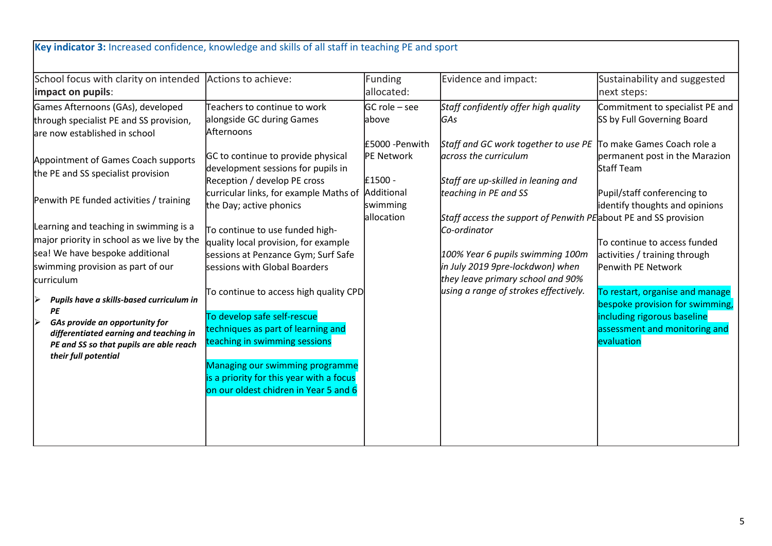|                                                |                                                                             | Funding<br>allocated: | Evidence and impact:                                             | Sustainability and suggested<br>next steps:                   |
|------------------------------------------------|-----------------------------------------------------------------------------|-----------------------|------------------------------------------------------------------|---------------------------------------------------------------|
| Games Afternoons (GAs), developed              | Teachers to continue to work                                                | GC role – see         | Staff confidently offer high quality                             | Commitment to specialist PE and                               |
| through specialist PE and SS provision,        | alongside GC during Games                                                   | labove                | <b>GAs</b>                                                       | SS by Full Governing Board                                    |
| are now established in school                  | Afternoons                                                                  |                       |                                                                  |                                                               |
|                                                |                                                                             | £5000 - Penwith       | Staff and GC work together to use PE To make Games Coach role a  |                                                               |
| Appointment of Games Coach supports            | GC to continue to provide physical                                          | PE Network            | across the curriculum                                            | permanent post in the Marazion                                |
| the PE and SS specialist provision             | development sessions for pupils in                                          |                       |                                                                  | Staff Team                                                    |
|                                                | Reception / develop PE cross                                                | £1500 -<br>Additional | Staff are up-skilled in leaning and                              |                                                               |
| Penwith PE funded activities / training        | curricular links, for example Maths of<br>the Day; active phonics           | swimming              | teaching in PE and SS                                            | Pupil/staff conferencing to<br>identify thoughts and opinions |
|                                                |                                                                             | allocation            | Staff access the support of Penwith PE about PE and SS provision |                                                               |
| Learning and teaching in swimming is a         | To continue to use funded high-                                             |                       | Co-ordinator                                                     |                                                               |
| major priority in school as we live by the     | quality local provision, for example                                        |                       |                                                                  | To continue to access funded                                  |
| sea! We have bespoke additional                | sessions at Penzance Gym; Surf Safe                                         |                       | 100% Year 6 pupils swimming 100m                                 | activities / training through                                 |
| swimming provision as part of our              | sessions with Global Boarders                                               |                       | in July 2019 9pre-lockdwon) when                                 | Penwith PE Network                                            |
| curriculum                                     |                                                                             |                       | they leave primary school and 90%                                |                                                               |
|                                                | To continue to access high quality CPD                                      |                       | using a range of strokes effectively.                            | To restart, organise and manage                               |
| Pupils have a skills-based curriculum in<br>PE |                                                                             |                       |                                                                  | bespoke provision for swimming,                               |
| GAs provide an opportunity for<br> ≽           | To develop safe self-rescue                                                 |                       |                                                                  | including rigorous baseline                                   |
| differentiated earning and teaching in         | techniques as part of learning and                                          |                       |                                                                  | assessment and monitoring and                                 |
| PE and SS so that pupils are able reach        | teaching in swimming sessions                                               |                       |                                                                  | evaluation                                                    |
| their full potential                           |                                                                             |                       |                                                                  |                                                               |
|                                                | Managing our swimming programme<br>is a priority for this year with a focus |                       |                                                                  |                                                               |
|                                                | on our oldest chidren in Year 5 and 6                                       |                       |                                                                  |                                                               |
|                                                |                                                                             |                       |                                                                  |                                                               |
|                                                |                                                                             |                       |                                                                  |                                                               |
|                                                |                                                                             |                       |                                                                  |                                                               |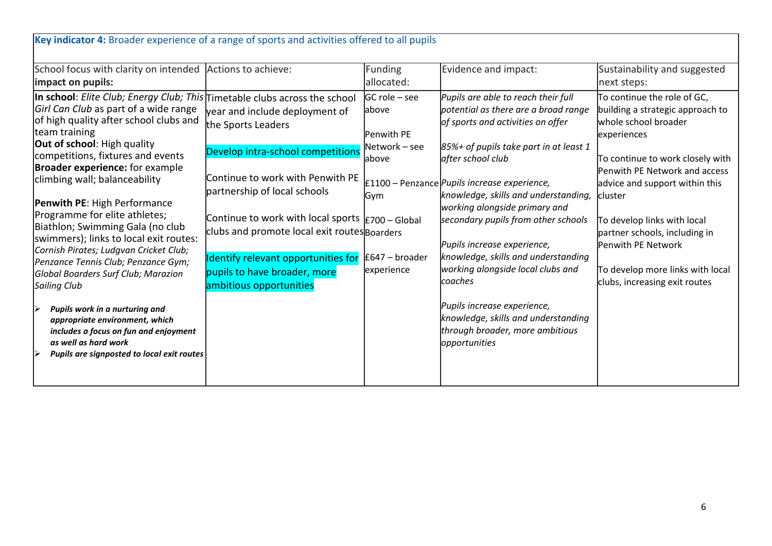| School focus with clarity on intended<br>impact on pupils:                                                                                                                                                                                                                                                                                                                                                                                                                                                                                                                                                                                                                                                                                                                               | Actions to achieve:                                                                                                                                                                                                                                                                                                                                                                                                  | Funding<br>allocated:                                                                                     | Evidence and impact:                                                                                                                                                                                                                                                                                                                                                                                                                                                                                                                                                                                    | Sustainability and suggested<br>next steps:                                                                                                                                                                                                                                                                                                                                         |
|------------------------------------------------------------------------------------------------------------------------------------------------------------------------------------------------------------------------------------------------------------------------------------------------------------------------------------------------------------------------------------------------------------------------------------------------------------------------------------------------------------------------------------------------------------------------------------------------------------------------------------------------------------------------------------------------------------------------------------------------------------------------------------------|----------------------------------------------------------------------------------------------------------------------------------------------------------------------------------------------------------------------------------------------------------------------------------------------------------------------------------------------------------------------------------------------------------------------|-----------------------------------------------------------------------------------------------------------|---------------------------------------------------------------------------------------------------------------------------------------------------------------------------------------------------------------------------------------------------------------------------------------------------------------------------------------------------------------------------------------------------------------------------------------------------------------------------------------------------------------------------------------------------------------------------------------------------------|-------------------------------------------------------------------------------------------------------------------------------------------------------------------------------------------------------------------------------------------------------------------------------------------------------------------------------------------------------------------------------------|
| In school: Elite Club; Energy Club; This<br>Girl Can Club as part of a wide range<br>of high quality after school clubs and<br>team training<br><b>Out of school:</b> High quality<br>competitions, fixtures and events<br><b>Broader experience:</b> for example<br>climbing wall; balanceability<br><b>Penwith PE: High Performance</b><br>Programme for elite athletes;<br>Biathlon; Swimming Gala (no club<br>swimmers); links to local exit routes:<br>Cornish Pirates; Ludgvan Cricket Club;<br>Penzance Tennis Club; Penzance Gym;<br>Global Boarders Surf Club; Marazion<br>Sailing Club<br>Pupils work in a nurturing and<br>Ⅳ<br>appropriate environment, which<br>includes a focus on fun and enjoyment<br>as well as hard work<br>Pupils are signposted to local exit routes | Timetable clubs across the school<br>year and include deployment of<br>the Sports Leaders<br>Develop intra-school competitions<br>Continue to work with Penwith PE<br>partnership of local schools<br>Continue to work with local sports $\frac{1}{2}700 -$ Global<br>clubs and promote local exit routes Boarders<br>Identify relevant opportunities for<br>pupils to have broader, more<br>ambitious opportunities | GC role – see<br>labove<br>Penwith PE<br>Network - see<br>labove<br>Gym<br>$E647 - broader$<br>experience | Pupils are able to reach their full<br>potential as there are a broad range<br>of sports and activities on offer<br>85%+ of pupils take part in at least 1<br>after school club<br>£1100 – Penzance <i>Pupils increase experience</i> ,<br>knowledge, skills and understanding,<br>working alongside primary and<br>secondary pupils from other schools<br>Pupils increase experience,<br>knowledge, skills and understanding<br>working alongside local clubs and<br>coaches<br>Pupils increase experience,<br>knowledge, skills and understanding<br>through broader, more ambitious<br>opportunities | To continue the role of GC,<br>building a strategic approach to<br>whole school broader<br>experiences<br>To continue to work closely with<br>Penwith PE Network and access<br>advice and support within this<br>cluster<br>To develop links with local<br>partner schools, including in<br>Penwith PE Network<br>To develop more links with local<br>clubs, increasing exit routes |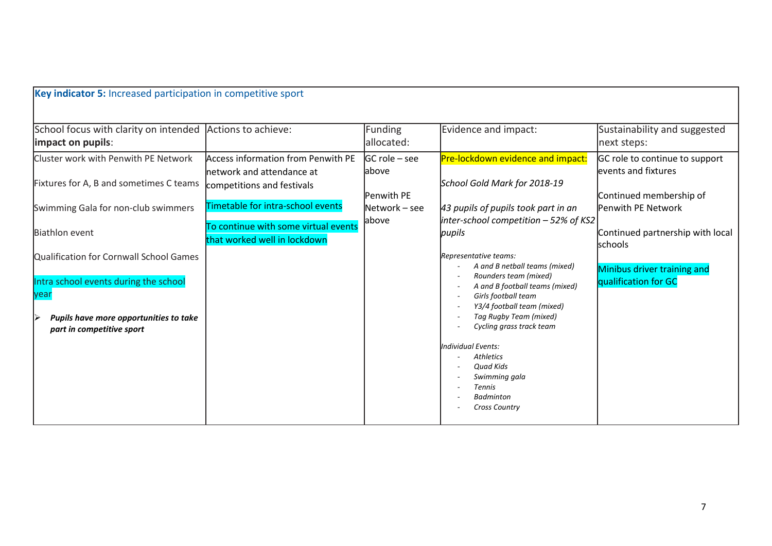| Key indicator 5: Increased participation in competitive sport                                                                                                   |                                                                                                                                    |                                                          |                                                                                                                                                                                                                                                    |                                                                                                        |
|-----------------------------------------------------------------------------------------------------------------------------------------------------------------|------------------------------------------------------------------------------------------------------------------------------------|----------------------------------------------------------|----------------------------------------------------------------------------------------------------------------------------------------------------------------------------------------------------------------------------------------------------|--------------------------------------------------------------------------------------------------------|
| School focus with clarity on intended Actions to achieve:<br>impact on pupils:                                                                                  |                                                                                                                                    | Funding<br>allocated:                                    | Evidence and impact:                                                                                                                                                                                                                               | Sustainability and suggested<br>next steps:                                                            |
| Cluster work with Penwith PE Network<br>Fixtures for A, B and sometimes C teams<br>Swimming Gala for non-club swimmers                                          | Access information from Penwith PE<br>network and attendance at<br>competitions and festivals<br>Timetable for intra-school events | lGC role – see<br>labove<br>lPenwith PE<br>Network - see | Pre-lockdown evidence and impact:<br>School Gold Mark for 2018-19<br>43 pupils of pupils took part in an                                                                                                                                           | GC role to continue to support<br>events and fixtures<br>Continued membership of<br>Penwith PE Network |
| <b>Biathlon event</b>                                                                                                                                           | To continue with some virtual events<br>that worked well in lockdown                                                               | labove                                                   | inter-school competition - 52% of KS2<br>pupils                                                                                                                                                                                                    | Continued partnership with local<br><b>schools</b>                                                     |
| Qualification for Cornwall School Games<br>Intra school events during the school<br>year<br>Pupils have more opportunities to take<br>part in competitive sport |                                                                                                                                    |                                                          | Representative teams:<br>A and B netball teams (mixed)<br>Rounders team (mixed)<br>A and B football teams (mixed)<br>Girls football team<br>Y3/4 football team (mixed)<br>Tag Rugby Team (mixed)<br>Cycling grass track team<br>Individual Events: | Minibus driver training and<br>qualification for GC                                                    |
|                                                                                                                                                                 |                                                                                                                                    |                                                          | <b>Athletics</b><br><b>Quad Kids</b><br>Swimming gala<br><b>Tennis</b><br><b>Badminton</b><br><b>Cross Country</b>                                                                                                                                 |                                                                                                        |